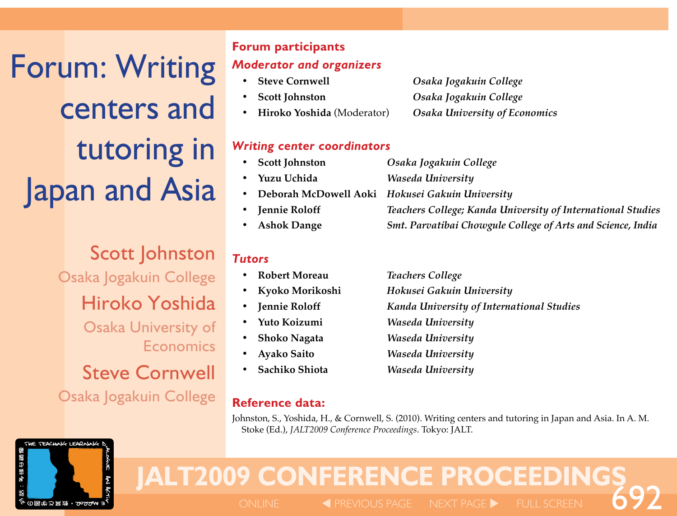Forum: Writing centers and tutoring in **Japan and Asia** 

> Scott Johnston Osaka Jogakuin College Hiroko Yoshida Osaka University of Economics Steve Cornwell Osaka Jogakuin College

THE TEACHING LEARNING

多様な鏡像

# **Forum participants** *Moderator and organizers*

- 
- 
- 
- **• Steve Cornwell**  *Osaka Jogakuin College* **• Scott** Johnston *Osaka Jogakuin College* **• Hiroko Yoshida** (Moderator) *Osaka University of Economics*

## *Writing center coordinators*

| • Scott Johnston | Osaka Jogakuin College                                      |
|------------------|-------------------------------------------------------------|
| • Yuzu Uchida    | Waseda University                                           |
|                  | • Deborah McDowell Aoki Hokusei Gakuin University           |
| • Jennie Roloff  | Teachers College; Kanda University of International Studies |
| • Ashok Dange    | Smt. Parvatibai Chowgule College of Arts and Science, India |

## *Tutors*

- 
- 
- 
- 
- 
- 
- **• Sachiko Shiota**  *Waseda University*

# **Reference data:**

**• Robert Moreau**  *Teachers College* **• Kyoko Morikoshi**  *Hokusei Gakuin University Fennie Roloff Kanda University of International Studies* **• Yuto Koizumi**  *Waseda University* **• Shoko Nagata** *Waseda University* **• Ayako Saito**  *Waseda University*

Johnston, S., Yoshida, H., & Cornwell, S. (2010). Writing centers and tutoring in Japan and Asia. In A. M. Stoke (Ed.), *JALT2009 Conference Proceedings*. Tokyo: JALT.

# **JALT2009 CONFERENCE PROCEEDINGS**<br> **Exprevious page in ext page by full screen**

 $\blacktriangleleft$  PREVIOUS PAGE NEXT PAGE  $\blacktriangleright$  FULL SCREEN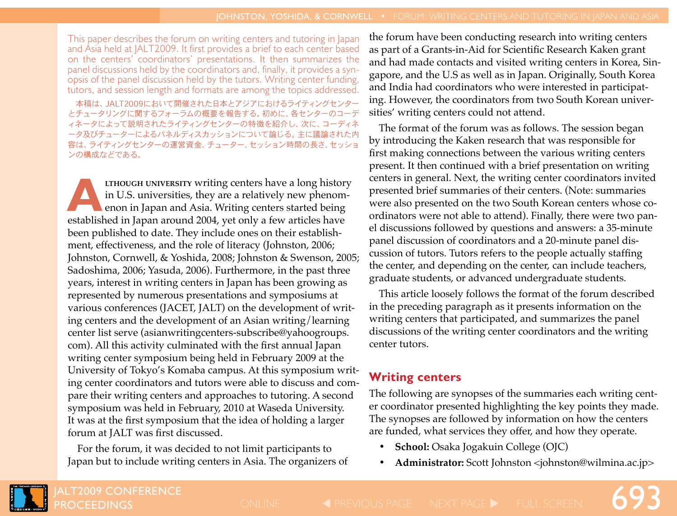This paper describes the forum on writing centers and tutoring in Japan and Asia held at JALT2009. It first provides a brief to each center based on the centers' coordinators' presentations. It then summarizes the panel discussions held by the coordinators and, finally, it provides a synopsis of the panel discussion held by the tutors. Writing center funding, tutors, and session length and formats are among the topics addressed.

本稿は、JALT2009において開催された日本とアジアにおけるライティングセンター とチュータリングに関するフォーラムの概要を報告する。初めに、各センターのコーデ ィネータによって説明されたライティングセンターの特徴を紹介し、次に、コーディネ ータ及びチューターによるパネルディスカッションについて論じる。主に議論された内 容は、ライティングセンターの運営資金、チューター、セッション時間の長さ、セッショ ンの構成などである。

**LTHOUGH UNIVERSITY writing centers have a long history** in U.S. universities, they are a relatively new phenomenon in Japan and Asia. Writing centers started being established in Japan around 2004, yet only a few articles have been published to date. They include ones on their establishment, effectiveness, and the role of literacy (Johnston, 2006; Johnston, Cornwell, & Yoshida, 2008; Johnston & Swenson, 2005; Sadoshima, 2006; Yasuda, 2006). Furthermore, in the past three years, interest in writing centers in Japan has been growing as represented by numerous presentations and symposiums at various conferences (JACET, JALT) on the development of writing centers and the development of an Asian writing/learning center list serve (asianwritingcenters-subscribe@yahoogroups. com). All this activity culminated with the first annual Japan writing center symposium being held in February 2009 at the University of Tokyo's Komaba campus. At this symposium writing center coordinators and tutors were able to discuss and compare their writing centers and approaches to tutoring. A second symposium was held in February, 2010 at Waseda University. It was at the first symposium that the idea of holding a larger forum at JALT was first discussed.

For the forum, it was decided to not limit participants to Japan but to include writing centers in Asia. The organizers of the forum have been conducting research into writing centers as part of a Grants-in-Aid for Scientific Research Kaken grant and had made contacts and visited writing centers in Korea, Singapore, and the U.S as well as in Japan. Originally, South Korea and India had coordinators who were interested in participating. However, the coordinators from two South Korean universities' writing centers could not attend.

The format of the forum was as follows. The session began by introducing the Kaken research that was responsible for first making connections between the various writing centers present. It then continued with a brief presentation on writing centers in general. Next, the writing center coordinators invited presented brief summaries of their centers. (Note: summaries were also presented on the two South Korean centers whose coordinators were not able to attend). Finally, there were two panel discussions followed by questions and answers: a 35-minute panel discussion of coordinators and a 20-minute panel discussion of tutors. Tutors refers to the people actually staffing the center, and depending on the center, can include teachers, graduate students, or advanced undergraduate students.

This article loosely follows the format of the forum described in the preceding paragraph as it presents information on the writing centers that participated, and summarizes the panel discussions of the writing center coordinators and the writing center tutors.

## **Writing centers**

The following are synopses of the summaries each writing center coordinator presented highlighting the key points they made. The synopses are followed by information on how the centers are funded, what services they offer, and how they operate.

- **• School:** Osaka Jogakuin College (OJC)
- **• Administrator:** Scott Johnston <johnston@wilmina.ac.jp>

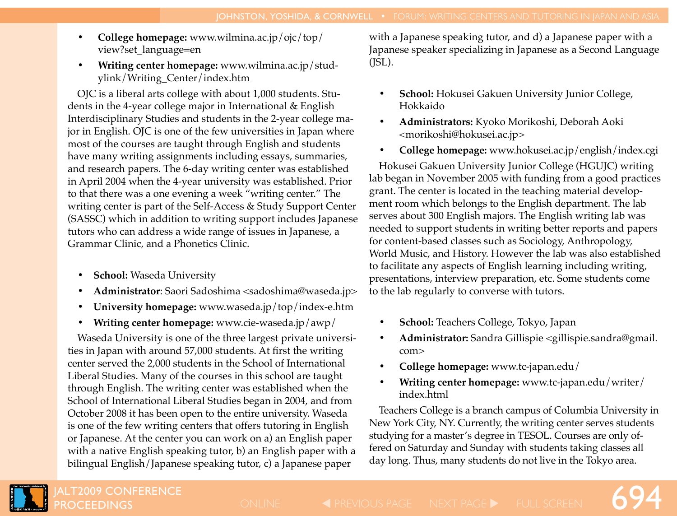- **• College homepage:** www.wilmina.ac.jp/ojc/top/ view?set\_language=en
- **• Writing center homepage:** www.wilmina.ac.jp/studylink/Writing\_Center/index.htm

OJC is a liberal arts college with about 1,000 students. Students in the 4-year college major in International & English Interdisciplinary Studies and students in the 2-year college major in English. OJC is one of the few universities in Japan where most of the courses are taught through English and students have many writing assignments including essays, summaries, and research papers. The 6-day writing center was established in April 2004 when the 4-year university was established. Prior to that there was a one evening a week "writing center." The writing center is part of the Self-Access & Study Support Center (SASSC) which in addition to writing support includes Japanese tutors who can address a wide range of issues in Japanese, a Grammar Clinic, and a Phonetics Clinic.

- **School:** Waseda University
- **• Administrator**: Saori Sadoshima <sadoshima@waseda.jp>
- **• University homepage:** www.waseda.jp/top/index-e.htm
- **• Writing center homepage:** www.cie-waseda.jp/awp/

Waseda University is one of the three largest private universities in Japan with around 57,000 students. At first the writing center served the 2,000 students in the School of International Liberal Studies. Many of the courses in this school are taught through English. The writing center was established when the School of International Liberal Studies began in 2004, and from October 2008 it has been open to the entire university. Waseda is one of the few writing centers that offers tutoring in English or Japanese. At the center you can work on a) an English paper with a native English speaking tutor, b) an English paper with a bilingual English/Japanese speaking tutor, c) a Japanese paper

with a Japanese speaking tutor, and d) a Japanese paper with a Japanese speaker specializing in Japanese as a Second Language  $(ISL)$ .

- **School:** Hokusei Gakuen University Junior College, Hokkaido
- **• Administrators:** Kyoko Morikoshi, Deborah Aoki <morikoshi@hokusei.ac.jp>
- **• College homepage:** www.hokusei.ac.jp/english/index.cgi

Hokusei Gakuen University Junior College (HGUJC) writing lab began in November 2005 with funding from a good practices grant. The center is located in the teaching material development room which belongs to the English department. The lab serves about 300 English majors. The English writing lab was needed to support students in writing better reports and papers for content-based classes such as Sociology, Anthropology, World Music, and History. However the lab was also established to facilitate any aspects of English learning including writing, presentations, interview preparation, etc. Some students come to the lab regularly to converse with tutors.

- **• School:** Teachers College, Tokyo, Japan
- **• Administrator:** Sandra Gillispie <gillispie.sandra@gmail. com>
- **• College homepage:** www.tc-japan.edu/
- **• Writing center homepage:** www.tc-japan.edu/writer/ index.html

Teachers College is a branch campus of Columbia University in New York City, NY. Currently, the writing center serves students studying for a master's degree in TESOL. Courses are only offered on Saturday and Sunday with students taking classes all day long. Thus, many students do not live in the Tokyo area.

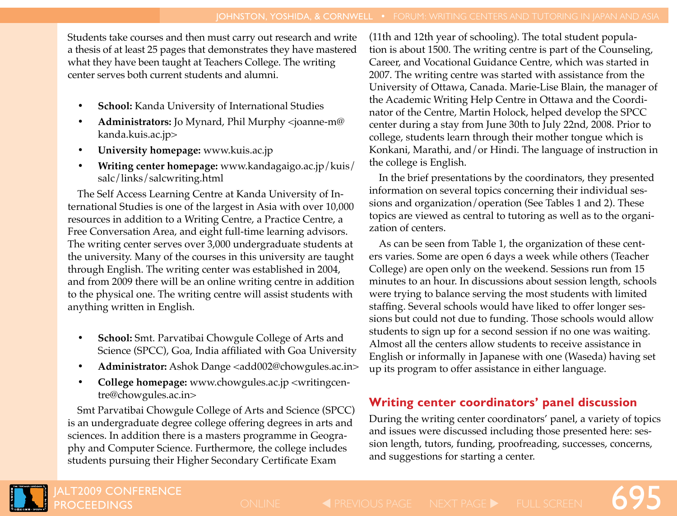Students take courses and then must carry out research and write a thesis of at least 25 pages that demonstrates they have mastered what they have been taught at Teachers College. The writing center serves both current students and alumni.

- **School:** Kanda University of International Studies
- **• Administrators:** Jo Mynard, Phil Murphy <joanne-m@ kanda.kuis.ac.jp>
- **• University homepage:** www.kuis.ac.jp
- **• Writing center homepage:** www.kandagaigo.ac.jp/kuis/ salc/links/salcwriting.html

The Self Access Learning Centre at Kanda University of International Studies is one of the largest in Asia with over 10,000 resources in addition to a Writing Centre, a Practice Centre, a Free Conversation Area, and eight full-time learning advisors. The writing center serves over 3,000 undergraduate students at the university. Many of the courses in this university are taught through English. The writing center was established in 2004, and from 2009 there will be an online writing centre in addition to the physical one. The writing centre will assist students with anything written in English.

- **School:** Smt. Parvatibai Chowgule College of Arts and Science (SPCC), Goa, India affiliated with Goa University
- **• Administrator:** Ashok Dange <add002@chowgules.ac.in>
- **College homepage:** www.chowgules.ac.jp <writingcentre@chowgules.ac.in>

Smt Parvatibai Chowgule College of Arts and Science (SPCC) is an undergraduate degree college offering degrees in arts and sciences. In addition there is a masters programme in Geography and Computer Science. Furthermore, the college includes students pursuing their Higher Secondary Certificate Exam

(11th and 12th year of schooling). The total student population is about 1500. The writing centre is part of the Counseling, Career, and Vocational Guidance Centre, which was started in 2007. The writing centre was started with assistance from the University of Ottawa, Canada. Marie-Lise Blain, the manager of the Academic Writing Help Centre in Ottawa and the Coordinator of the Centre, Martin Holock, helped develop the SPCC center during a stay from June 30th to July 22nd, 2008. Prior to college, students learn through their mother tongue which is Konkani, Marathi, and/or Hindi. The language of instruction in the college is English.

In the brief presentations by the coordinators, they presented information on several topics concerning their individual sessions and organization/operation (See Tables 1 and 2). These topics are viewed as central to tutoring as well as to the organization of centers.

As can be seen from Table 1, the organization of these centers varies. Some are open 6 days a week while others (Teacher College) are open only on the weekend. Sessions run from 15 minutes to an hour. In discussions about session length, schools were trying to balance serving the most students with limited staffing. Several schools would have liked to offer longer sessions but could not due to funding. Those schools would allow students to sign up for a second session if no one was waiting. Almost all the centers allow students to receive assistance in English or informally in Japanese with one (Waseda) having set up its program to offer assistance in either language.

# **Writing center coordinators' panel discussion**

During the writing center coordinators' panel, a variety of topics and issues were discussed including those presented here: session length, tutors, funding, proofreading, successes, concerns, and suggestions for starting a center.

695



LT2009 CONFERENCE **ROCEEDINGS**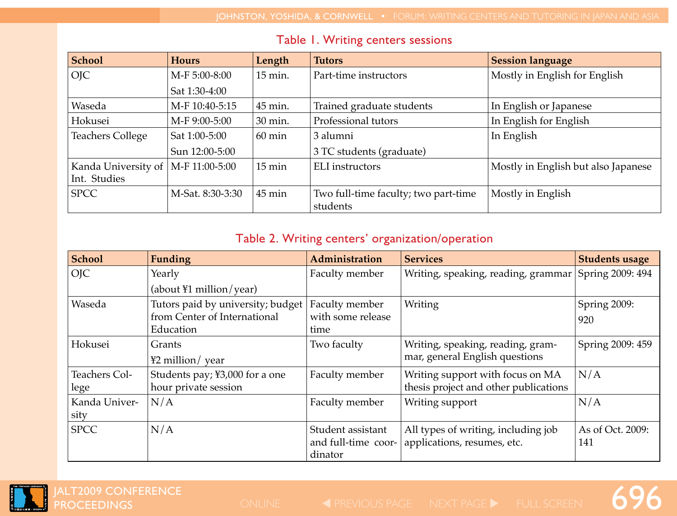| <b>School</b>           | <b>Hours</b>     | Length           | <b>Tutors</b>                        | <b>Session language</b>             |  |
|-------------------------|------------------|------------------|--------------------------------------|-------------------------------------|--|
| <b>OIC</b>              | M-F 5:00-8:00    | 15 min.          | Part-time instructors                | Mostly in English for English       |  |
|                         | Sat 1:30-4:00    |                  |                                      |                                     |  |
| Waseda                  | M-F 10:40-5:15   | 45 min.          | Trained graduate students            | In English or Japanese              |  |
| Hokusei                 | M-F 9:00-5:00    | 30 min.          | Professional tutors                  | In English for English              |  |
| <b>Teachers College</b> | Sat 1:00-5:00    | $60 \text{ min}$ | 3 alumni                             | In English                          |  |
|                         | Sun 12:00-5:00   |                  | 3 TC students (graduate)             |                                     |  |
| Kanda University of     | M-F 11:00-5:00   | $15 \text{ min}$ | ELI instructors                      | Mostly in English but also Japanese |  |
| Int. Studies            |                  |                  |                                      |                                     |  |
| <b>SPCC</b>             | M-Sat. 8:30-3:30 | $45 \text{ min}$ | Two full-time faculty; two part-time | Mostly in English                   |  |
|                         |                  |                  | students                             |                                     |  |

## Table 1. Writing centers sessions

# Table 2. Writing centers' organization/operation

| <b>School</b> | <b>Funding</b>                    | <b>Administration</b> | <b>Services</b>                       | <b>Students usage</b> |
|---------------|-----------------------------------|-----------------------|---------------------------------------|-----------------------|
| <b>OJC</b>    | Yearly                            | Faculty member        | Writing, speaking, reading, grammar   | Spring 2009: 494      |
|               | (about $\text{\#1}$ million/year) |                       |                                       |                       |
| Waseda        | Tutors paid by university; budget | Faculty member        | Writing                               | Spring 2009:          |
|               | from Center of International      | with some release     |                                       | 920                   |
|               | Education                         | time                  |                                       |                       |
| Hokusei       | Grants                            | Two faculty           | Writing, speaking, reading, gram-     | Spring 2009: 459      |
|               | ¥2 million/ year                  |                       | mar, general English questions        |                       |
| Teachers Col- | Students pay; ¥3,000 for a one    | Faculty member        | Writing support with focus on MA      | N/A                   |
| lege          | hour private session              |                       | thesis project and other publications |                       |
| Kanda Univer- | N/A                               | Faculty member        | Writing support                       | N/A                   |
| sity          |                                   |                       |                                       |                       |
| <b>SPCC</b>   | N/A                               | Student assistant     | All types of writing, including job   | As of Oct. 2009:      |
|               |                                   | and full-time coor-   | applications, resumes, etc.           | 141                   |
|               |                                   | dinator               |                                       |                       |



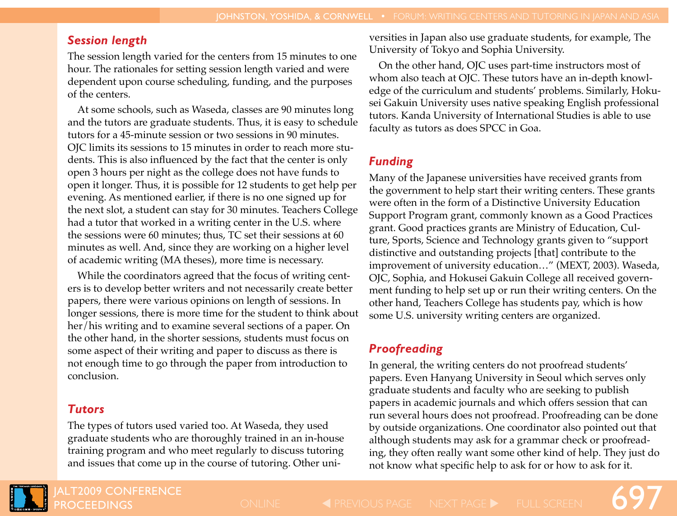## *Session length*

The session length varied for the centers from 15 minutes to one hour. The rationales for setting session length varied and were dependent upon course scheduling, funding, and the purposes of the centers.

At some schools, such as Waseda, classes are 90 minutes long and the tutors are graduate students. Thus, it is easy to schedule tutors for a 45-minute session or two sessions in 90 minutes. OJC limits its sessions to 15 minutes in order to reach more students. This is also influenced by the fact that the center is only open 3 hours per night as the college does not have funds to open it longer. Thus, it is possible for 12 students to get help per evening. As mentioned earlier, if there is no one signed up for the next slot, a student can stay for 30 minutes. Teachers College had a tutor that worked in a writing center in the U.S. where the sessions were 60 minutes; thus, TC set their sessions at 60 minutes as well. And, since they are working on a higher level of academic writing (MA theses), more time is necessary.

While the coordinators agreed that the focus of writing centers is to develop better writers and not necessarily create better papers, there were various opinions on length of sessions. In longer sessions, there is more time for the student to think about her/his writing and to examine several sections of a paper. On the other hand, in the shorter sessions, students must focus on some aspect of their writing and paper to discuss as there is not enough time to go through the paper from introduction to conclusion.

# *Tutors*

The types of tutors used varied too. At Waseda, they used graduate students who are thoroughly trained in an in-house training program and who meet regularly to discuss tutoring and issues that come up in the course of tutoring. Other universities in Japan also use graduate students, for example, The University of Tokyo and Sophia University.

On the other hand, OJC uses part-time instructors most of whom also teach at OJC. These tutors have an in-depth knowledge of the curriculum and students' problems. Similarly, Hokusei Gakuin University uses native speaking English professional tutors. Kanda University of International Studies is able to use faculty as tutors as does SPCC in Goa.

# *Funding*

Many of the Japanese universities have received grants from the government to help start their writing centers. These grants were often in the form of a Distinctive University Education Support Program grant, commonly known as a Good Practices grant. Good practices grants are Ministry of Education, Culture, Sports, Science and Technology grants given to "support distinctive and outstanding projects [that] contribute to the improvement of university education…" (MEXT, 2003). Waseda, OJC, Sophia, and Hokusei Gakuin College all received government funding to help set up or run their writing centers. On the other hand, Teachers College has students pay, which is how some U.S. university writing centers are organized.

# *Proofreading*

In general, the writing centers do not proofread students' papers. Even Hanyang University in Seoul which serves only graduate students and faculty who are seeking to publish papers in academic journals and which offers session that can run several hours does not proofread. Proofreading can be done by outside organizations. One coordinator also pointed out that although students may ask for a grammar check or proofreading, they often really want some other kind of help. They just do not know what specific help to ask for or how to ask for it.



**LT2009 CONFERENCE ROCEEDINGS** 

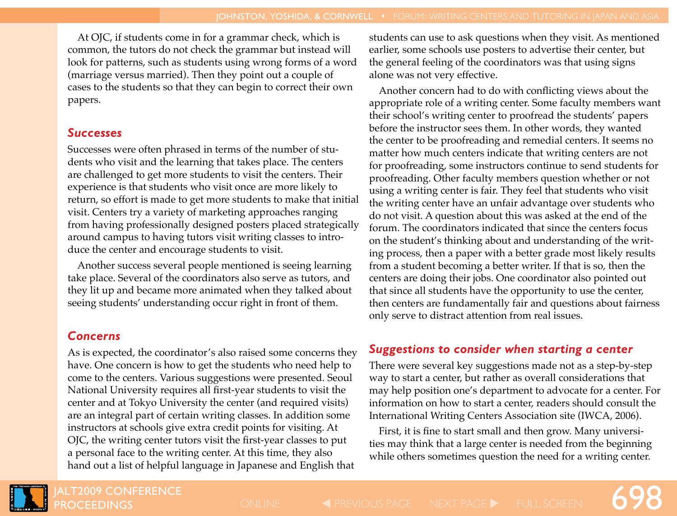At OJC, if students come in for a grammar check, which is common, the tutors do not check the grammar but instead will look for patterns, such as students using wrong forms of a word (marriage versus married). Then they point out a couple of cases to the students so that they can begin to correct their own papers.

#### *Successes*

Successes were often phrased in terms of the number of students who visit and the learning that takes place. The centers are challenged to get more students to visit the centers. Their experience is that students who visit once are more likely to return, so effort is made to get more students to make that initial visit. Centers try a variety of marketing approaches ranging from having professionally designed posters placed strategically around campus to having tutors visit writing classes to introduce the center and encourage students to visit.

Another success several people mentioned is seeing learning take place. Several of the coordinators also serve as tutors, and they lit up and became more animated when they talked about seeing students' understanding occur right in front of them.

## *Concerns*

As is expected, the coordinator's also raised some concerns they have. One concern is how to get the students who need help to come to the centers. Various suggestions were presented. Seoul National University requires all first-year students to visit the center and at Tokyo University the center (and required visits) are an integral part of certain writing classes. In addition some instructors at schools give extra credit points for visiting. At OJC, the writing center tutors visit the first-year classes to put a personal face to the writing center. At this time, they also hand out a list of helpful language in Japanese and English that

students can use to ask questions when they visit. As mentioned earlier, some schools use posters to advertise their center, but the general feeling of the coordinators was that using signs alone was not very effective.

Another concern had to do with conflicting views about the appropriate role of a writing center. Some faculty members want their school's writing center to proofread the students' papers before the instructor sees them. In other words, they wanted the center to be proofreading and remedial centers. It seems no matter how much centers indicate that writing centers are not for proofreading, some instructors continue to send students for proofreading. Other faculty members question whether or not using a writing center is fair. They feel that students who visit the writing center have an unfair advantage over students who do not visit. A question about this was asked at the end of the forum. The coordinators indicated that since the centers focus on the student's thinking about and understanding of the writing process, then a paper with a better grade most likely results from a student becoming a better writer. If that is so, then the centers are doing their jobs. One coordinator also pointed out that since all students have the opportunity to use the center, then centers are fundamentally fair and questions about fairness only serve to distract attention from real issues.

## *Suggestions to consider when starting a center*

There were several key suggestions made not as a step-by-step way to start a center, but rather as overall considerations that may help position one's department to advocate for a center. For information on how to start a center, readers should consult the International Writing Centers Association site (IWCA, 2006).

First, it is fine to start small and then grow. Many universities may think that a large center is needed from the beginning while others sometimes question the need for a writing center.

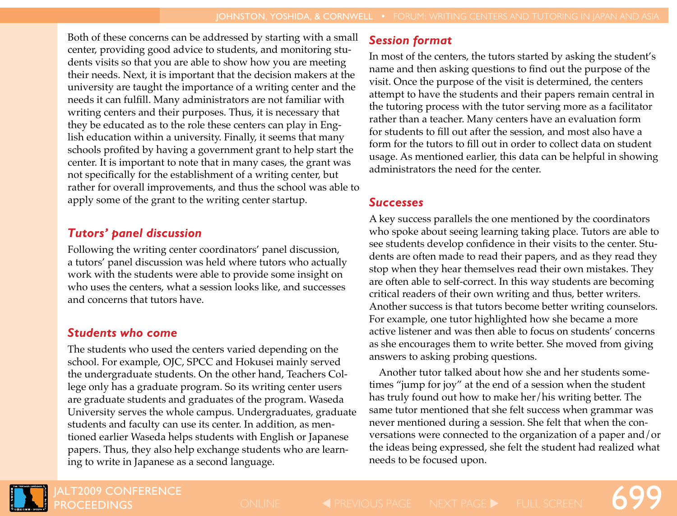Both of these concerns can be addressed by starting with a small center, providing good advice to students, and monitoring students visits so that you are able to show how you are meeting their needs. Next, it is important that the decision makers at the university are taught the importance of a writing center and the needs it can fulfill. Many administrators are not familiar with writing centers and their purposes. Thus, it is necessary that they be educated as to the role these centers can play in English education within a university. Finally, it seems that many schools profited by having a government grant to help start the center. It is important to note that in many cases, the grant was not specifically for the establishment of a writing center, but rather for overall improvements, and thus the school was able to apply some of the grant to the writing center startup.

#### *Tutors' panel discussion*

Following the writing center coordinators' panel discussion, a tutors' panel discussion was held where tutors who actually work with the students were able to provide some insight on who uses the centers, what a session looks like, and successes and concerns that tutors have.

## *Students who come*

The students who used the centers varied depending on the school. For example, OJC, SPCC and Hokusei mainly served the undergraduate students. On the other hand, Teachers College only has a graduate program. So its writing center users are graduate students and graduates of the program. Waseda University serves the whole campus. Undergraduates, graduate students and faculty can use its center. In addition, as mentioned earlier Waseda helps students with English or Japanese papers. Thus, they also help exchange students who are learning to write in Japanese as a second language.

## *Session format*

In most of the centers, the tutors started by asking the student's name and then asking questions to find out the purpose of the visit. Once the purpose of the visit is determined, the centers attempt to have the students and their papers remain central in the tutoring process with the tutor serving more as a facilitator rather than a teacher. Many centers have an evaluation form for students to fill out after the session, and most also have a form for the tutors to fill out in order to collect data on student usage. As mentioned earlier, this data can be helpful in showing administrators the need for the center.

## *Successes*

A key success parallels the one mentioned by the coordinators who spoke about seeing learning taking place. Tutors are able to see students develop confidence in their visits to the center. Students are often made to read their papers, and as they read they stop when they hear themselves read their own mistakes. They are often able to self-correct. In this way students are becoming critical readers of their own writing and thus, better writers. Another success is that tutors become better writing counselors. For example, one tutor highlighted how she became a more active listener and was then able to focus on students' concerns as she encourages them to write better. She moved from giving answers to asking probing questions.

Another tutor talked about how she and her students sometimes "jump for joy" at the end of a session when the student has truly found out how to make her/his writing better. The same tutor mentioned that she felt success when grammar was never mentioned during a session. She felt that when the conversations were connected to the organization of a paper and/or the ideas being expressed, she felt the student had realized what needs to be focused upon.



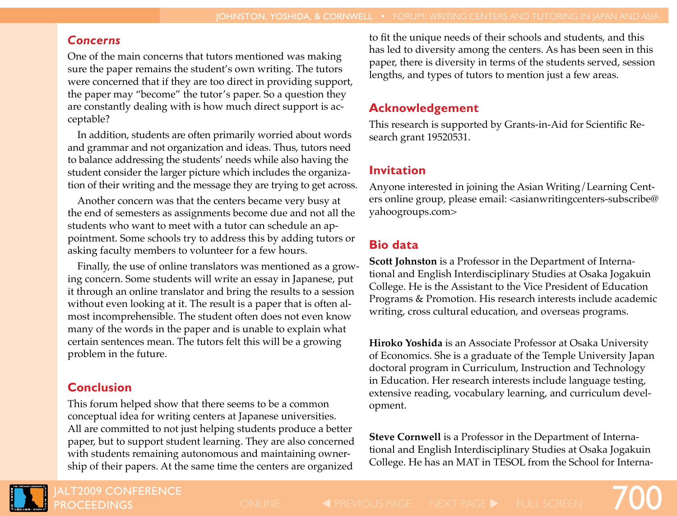### *Concerns*

One of the main concerns that tutors mentioned was making sure the paper remains the student's own writing. The tutors were concerned that if they are too direct in providing support, the paper may "become" the tutor's paper. So a question they are constantly dealing with is how much direct support is acceptable?

In addition, students are often primarily worried about words and grammar and not organization and ideas. Thus, tutors need to balance addressing the students' needs while also having the student consider the larger picture which includes the organization of their writing and the message they are trying to get across.

Another concern was that the centers became very busy at the end of semesters as assignments become due and not all the students who want to meet with a tutor can schedule an appointment. Some schools try to address this by adding tutors or asking faculty members to volunteer for a few hours.

Finally, the use of online translators was mentioned as a growing concern. Some students will write an essay in Japanese, put it through an online translator and bring the results to a session without even looking at it. The result is a paper that is often almost incomprehensible. The student often does not even know many of the words in the paper and is unable to explain what certain sentences mean. The tutors felt this will be a growing problem in the future.

# **Conclusion**

This forum helped show that there seems to be a common conceptual idea for writing centers at Japanese universities. All are committed to not just helping students produce a better paper, but to support student learning. They are also concerned with students remaining autonomous and maintaining ownership of their papers. At the same time the centers are organized

to fit the unique needs of their schools and students, and this has led to diversity among the centers. As has been seen in this paper, there is diversity in terms of the students served, session lengths, and types of tutors to mention just a few areas.

## **Acknowledgement**

This research is supported by Grants-in-Aid for Scientific Research grant 19520531.

## **Invitation**

Anyone interested in joining the Asian Writing/Learning Centers online group, please email: <asianwritingcenters-subscribe@ yahoogroups.com>

# **Bio data**

**Scott Johnston** is a Professor in the Department of International and English Interdisciplinary Studies at Osaka Jogakuin College. He is the Assistant to the Vice President of Education Programs & Promotion. His research interests include academic writing, cross cultural education, and overseas programs.

**Hiroko Yoshida** is an Associate Professor at Osaka University of Economics. She is a graduate of the Temple University Japan doctoral program in Curriculum, Instruction and Technology in Education. Her research interests include language testing, extensive reading, vocabulary learning, and curriculum development.

**Steve Cornwell** is a Professor in the Department of International and English Interdisciplinary Studies at Osaka Jogakuin College. He has an MAT in TESOL from the School for Interna-